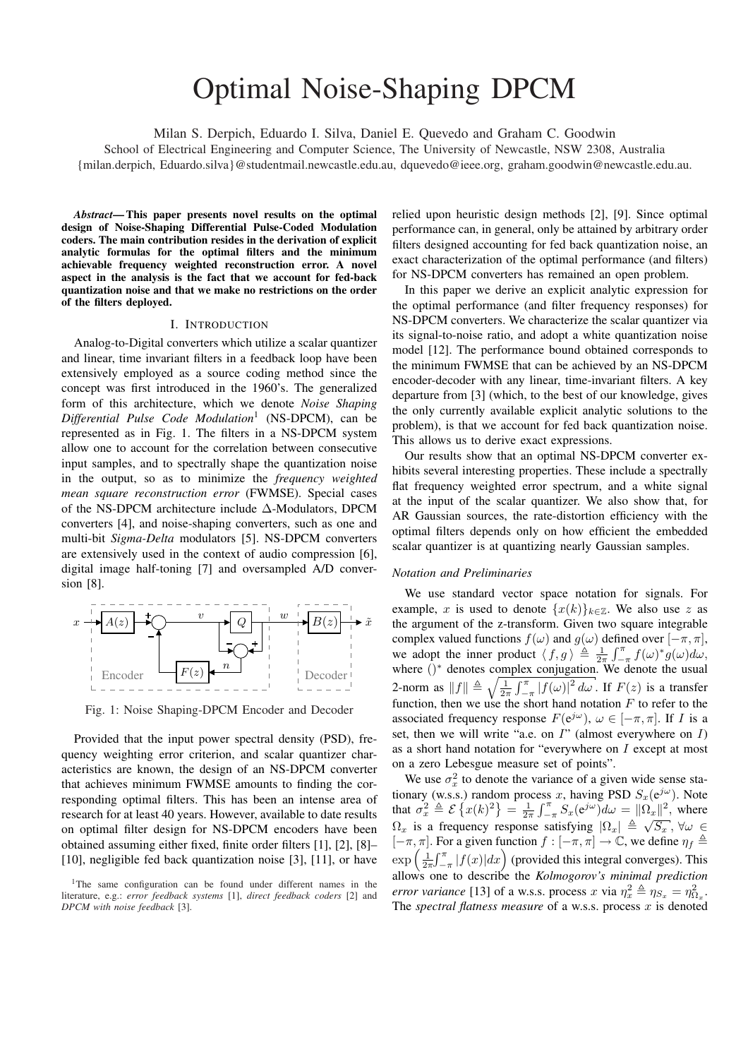# Optimal Noise-Shaping DPCM

Milan S. Derpich, Eduardo I. Silva, Daniel E. Quevedo and Graham C. Goodwin

School of Electrical Engineering and Computer Science, The University of Newcastle, NSW 2308, Australia {milan.derpich, Eduardo.silva}@studentmail.newcastle.edu.au, dquevedo@ieee.org, graham.goodwin@newcastle.edu.au.

*Abstract*— This paper presents novel results on the optimal design of Noise-Shaping Differential Pulse-Coded Modulation coders. The main contribution resides in the derivation of explicit analytic formulas for the optimal filters and the minimum achievable frequency weighted reconstruction error. A novel aspect in the analysis is the fact that we account for fed-back quantization noise and that we make no restrictions on the order of the filters deployed.

## I. INTRODUCTION

Analog-to-Digital converters which utilize a scalar quantizer and linear, time invariant filters in a feedback loop have been extensively employed as a source coding method since the concept was first introduced in the 1960's. The generalized form of this architecture, which we denote *Noise Shaping Differential Pulse Code Modulation*<sup>1</sup> (NS-DPCM), can be represented as in Fig. 1. The filters in a NS-DPCM system allow one to account for the correlation between consecutive input samples, and to spectrally shape the quantization noise in the output, so as to minimize the *frequency weighted mean square reconstruction error* (FWMSE). Special cases of the NS-DPCM architecture include ∆-Modulators, DPCM converters [4], and noise-shaping converters, such as one and multi-bit *Sigma-Delta* modulators [5]. NS-DPCM converters are extensively used in the context of audio compression [6], digital image half-toning [7] and oversampled A/D conversion [8].



Fig. 1: Noise Shaping-DPCM Encoder and Decoder

Provided that the input power spectral density (PSD), frequency weighting error criterion, and scalar quantizer characteristics are known, the design of an NS-DPCM converter that achieves minimum FWMSE amounts to finding the corresponding optimal filters. This has been an intense area of research for at least 40 years. However, available to date results on optimal filter design for NS-DPCM encoders have been obtained assuming either fixed, finite order filters [1], [2], [8]– [10], negligible fed back quantization noise [3], [11], or have

relied upon heuristic design methods [2], [9]. Since optimal performance can, in general, only be attained by arbitrary order filters designed accounting for fed back quantization noise, an exact characterization of the optimal performance (and filters) for NS-DPCM converters has remained an open problem.

In this paper we derive an explicit analytic expression for the optimal performance (and filter frequency responses) for NS-DPCM converters. We characterize the scalar quantizer via its signal-to-noise ratio, and adopt a white quantization noise model [12]. The performance bound obtained corresponds to the minimum FWMSE that can be achieved by an NS-DPCM encoder-decoder with any linear, time-invariant filters. A key departure from [3] (which, to the best of our knowledge, gives the only currently available explicit analytic solutions to the problem), is that we account for fed back quantization noise. This allows us to derive exact expressions.

Our results show that an optimal NS-DPCM converter exhibits several interesting properties. These include a spectrally flat frequency weighted error spectrum, and a white signal at the input of the scalar quantizer. We also show that, for AR Gaussian sources, the rate-distortion efficiency with the optimal filters depends only on how efficient the embedded scalar quantizer is at quantizing nearly Gaussian samples.

## *Notation and Preliminaries*

We use standard vector space notation for signals. For example, x is used to denote  $\{x(k)\}_{k\in\mathbb{Z}}$ . We also use z as the argument of the z-transform. Given two square integrable complex valued functions  $f(\omega)$  and  $g(\omega)$  defined over  $[-\pi, \pi]$ , we adopt the inner product  $\langle f, g \rangle \triangleq \frac{1}{2\pi}$  $\frac{\rm e}{\rm ln}$  $\int_{-\pi}^{\pi} f(\omega)^* g(\omega) d\omega,$ where ()<sup>\*</sup> denotes complex conjugation. We denote the usual<br>2. norm as  $||f|| \triangle \sqrt{\frac{1 - f^{\pi}}{L} |f(x)|^2}$  is  $E(x)$  is a transfer 2-norm as  $||f|| \triangleq \sqrt{\frac{1}{2\pi} \int_{-\pi}^{\pi} |f(\omega)|^2 d\omega}$ . If  $F(z)$  is a transfer function, then we use the short hand notation  $F$  to refer to the associated frequency response  $F(e^{j\omega})$ ,  $\omega \in [-\pi, \pi]$ . If I is a set, then we will write "a.e. on  $I$ " (almost everywhere on  $I$ ) as a short hand notation for "everywhere on I except at most on a zero Lebesgue measure set of points".

We use  $\sigma_x^2$  to denote the variance of a given wide sense stationary (w.s.s.) random process x, having PSD  $S_x(e^{j\omega})$ . Note that  $\sigma_x^2 \triangleq \mathcal{E}\left\{x(k)^2\right\} = \frac{1}{2\pi} \int_{-\pi}^{\pi} S_x(e^{j\omega}) d\omega = ||\Omega_x||^2$ , where  $\Omega_x$  is a frequency response satisfying  $|\Omega_x| \triangleq \sqrt{S_x}$ ,  $\forall \omega \in$  $[-\pi, \pi]$ . For a given function  $f : [-\pi, \pi] \to \mathbb{C}$ , we define  $\eta_f \triangleq$  $\left[-\pi, \pi\right].$ <br>exp $\left(\frac{1}{2\pi}\right)$  $rac{1}{\sqrt{n}}$ For a given function  $f: [-\pi, \pi] \to \mathbb{C}$ , we define  $\eta_f =$ <br> $\int_{-\pi}^{\pi} |f(x)| dx$  (provided this integral converges). This allows one to describe the *Kolmogorov's minimal prediction error variance* [13] of a w.s.s. process x via  $\eta_x^2 \triangleq \eta_{S_x} = \eta_{\Omega_x}^2$ . The *spectral flatness measure* of a w.s.s. process x is denoted

<sup>&</sup>lt;sup>1</sup>The same configuration can be found under different names in the literature, e.g.: *error feedback systems* [1], *direct feedback coders* [2] and *DPCM with noise feedback* [3].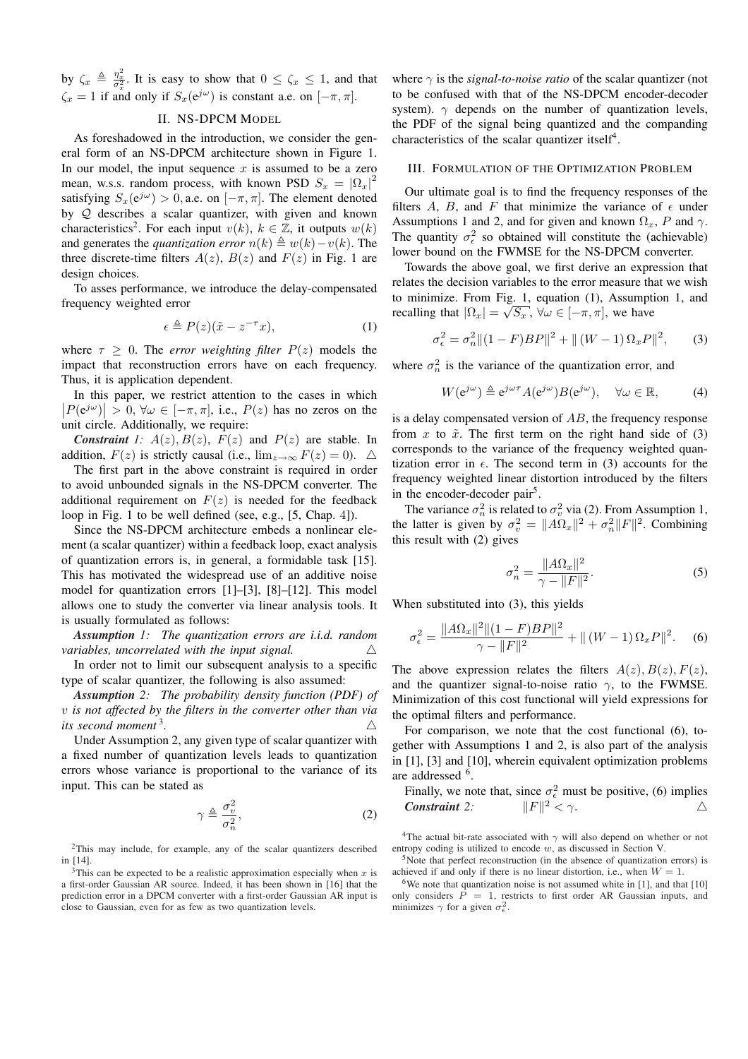by  $\zeta_x \triangleq \frac{\eta_x^2}{\sigma_x^2}$ . It is easy to show that  $0 \leq \zeta_x \leq 1$ , and that  $\zeta_x = 1$  if and only if  $S_x(e^{j\omega})$  is constant a.e. on  $[-\pi, \pi]$ .

# II. NS-DPCM MODEL

As foreshadowed in the introduction, we consider the general form of an NS-DPCM architecture shown in Figure 1. In our model, the input sequence  $x$  is assumed to be a zero mean, w.s.s. random process, with known PSD  $S_x = |\Omega_x|^2$ satisfying  $S_x(e^{j\omega}) > 0$ , a.e. on  $[-\pi, \pi]$ . The element denoted by Q describes a scalar quantizer, with given and known characteristics<sup>2</sup>. For each input  $v(k)$ ,  $k \in \mathbb{Z}$ , it outputs  $w(k)$ and generates the *quantization error*  $n(k) \triangleq w(k)-v(k)$ . The three discrete-time filters  $A(z)$ ,  $B(z)$  and  $F(z)$  in Fig. 1 are design choices.

To asses performance, we introduce the delay-compensated frequency weighted error

$$
\epsilon \triangleq P(z)(\tilde{x} - z^{-\tau}x),\tag{1}
$$

where  $\tau \geq 0$ . The *error weighting filter*  $P(z)$  models the impact that reconstruction errors have on each frequency. Thus, it is application dependent.

In this paper, we restrict attention to the cases in which In this paper, we restrict attention to the cases in which<br> $|P(e^{j\omega})| > 0$ ,  $\forall \omega \in [-\pi, \pi]$ , i.e.,  $P(z)$  has no zeros on the unit circle. Additionally, we require:

*Constraint* 1:  $A(z)$ ,  $B(z)$ ,  $F(z)$  and  $P(z)$  are stable. In addition,  $F(z)$  is strictly causal (i.e.,  $\lim_{z\to\infty} F(z) = 0$ ).  $\triangle$ 

The first part in the above constraint is required in order to avoid unbounded signals in the NS-DPCM converter. The additional requirement on  $F(z)$  is needed for the feedback loop in Fig. 1 to be well defined (see, e.g., [5, Chap. 4]).

Since the NS-DPCM architecture embeds a nonlinear element (a scalar quantizer) within a feedback loop, exact analysis of quantization errors is, in general, a formidable task [15]. This has motivated the widespread use of an additive noise model for quantization errors [1]–[3], [8]–[12]. This model allows one to study the converter via linear analysis tools. It is usually formulated as follows:

*Assumption 1: The quantization errors are i.i.d. random variables, uncorrelated with the input signal.*  $\triangle$ 

In order not to limit our subsequent analysis to a specific type of scalar quantizer, the following is also assumed:

*Assumption 2: The probability density function (PDF) of* v *is not affected by the filters in the converter other than via its second moment* <sup>3</sup> .  $\triangle$ 

Under Assumption 2, any given type of scalar quantizer with a fixed number of quantization levels leads to quantization errors whose variance is proportional to the variance of its input. This can be stated as

$$
\gamma \triangleq \frac{\sigma_v^2}{\sigma_n^2},\tag{2}
$$

<sup>2</sup>This may include, for example, any of the scalar quantizers described in [14].

<sup>3</sup>This can be expected to be a realistic approximation especially when x is a first-order Gaussian AR source. Indeed, it has been shown in [16] that the prediction error in a DPCM converter with a first-order Gaussian AR input is close to Gaussian, even for as few as two quantization levels.

where  $\gamma$  is the *signal-to-noise ratio* of the scalar quantizer (not to be confused with that of the NS-DPCM encoder-decoder system).  $\gamma$  depends on the number of quantization levels, the PDF of the signal being quantized and the companding characteristics of the scalar quantizer itself<sup>4</sup>.

## III. FORMULATION OF THE OPTIMIZATION PROBLEM

Our ultimate goal is to find the frequency responses of the filters A, B, and F that minimize the variance of  $\epsilon$  under Assumptions 1 and 2, and for given and known  $\Omega_x$ , P and  $\gamma$ . The quantity  $\sigma_{\epsilon}^2$  so obtained will constitute the (achievable) lower bound on the FWMSE for the NS-DPCM converter.

Towards the above goal, we first derive an expression that relates the decision variables to the error measure that we wish to minimize. From Fig. 1, equation (1), Assumption 1, and recalling that  $|\Omega_x| = \sqrt{S_x}$ ,  $\forall \omega \in [-\pi, \pi]$ , we have

$$
\sigma_{\epsilon}^{2} = \sigma_{n}^{2} \|(1 - F)BP\|^{2} + \|(W - 1) \Omega_{x} P\|^{2}, \qquad (3)
$$

where  $\sigma_n^2$  is the variance of the quantization error, and

$$
W(e^{j\omega}) \triangleq e^{j\omega \tau} A(e^{j\omega}) B(e^{j\omega}), \quad \forall \omega \in \mathbb{R}, \tag{4}
$$

is a delay compensated version of AB, the frequency response from x to  $\tilde{x}$ . The first term on the right hand side of (3) corresponds to the variance of the frequency weighted quantization error in  $\epsilon$ . The second term in (3) accounts for the frequency weighted linear distortion introduced by the filters in the encoder-decoder pair<sup>5</sup>.

The variance  $\sigma_n^2$  is related to  $\sigma_v^2$  via (2). From Assumption 1, the latter is given by  $\sigma_v^2 = ||A\Omega_x||^2 + \sigma_n^2 ||F||^2$ . Combining this result with (2) gives

$$
\sigma_n^2 = \frac{\|A\Omega_x\|^2}{\gamma - \|F\|^2}.
$$
 (5)

When substituted into (3), this yields

$$
\sigma_{\epsilon}^{2} = \frac{\|A\Omega_{x}\|^{2} \|(1 - F)BP\|^{2}}{\gamma - \|F\|^{2}} + \|(W - 1)\Omega_{x}P\|^{2}.
$$
 (6)

The above expression relates the filters  $A(z)$ ,  $B(z)$ ,  $F(z)$ , and the quantizer signal-to-noise ratio  $\gamma$ , to the FWMSE. Minimization of this cost functional will yield expressions for the optimal filters and performance.

For comparison, we note that the cost functional (6), together with Assumptions 1 and 2, is also part of the analysis in [1], [3] and [10], wherein equivalent optimization problems are addressed <sup>6</sup>.

Finally, we note that, since 
$$
\sigma_{\epsilon}^2
$$
 must be positive, (6) implies  
**Constraint** 2:  $||F||^2 < \gamma$ .

<sup>4</sup>The actual bit-rate associated with  $\gamma$  will also depend on whether or not entropy coding is utilized to encode w, as discussed in Section V.

<sup>5</sup>Note that perfect reconstruction (in the absence of quantization errors) is achieved if and only if there is no linear distortion, i.e., when  $W = 1$ .

<sup>6</sup>We note that quantization noise is not assumed white in [1], and that [10] only considers  $\overline{P} = 1$ , restricts to first order AR Gaussian inputs, and minimizes  $\gamma$  for a given  $\sigma_{\epsilon}^2$ .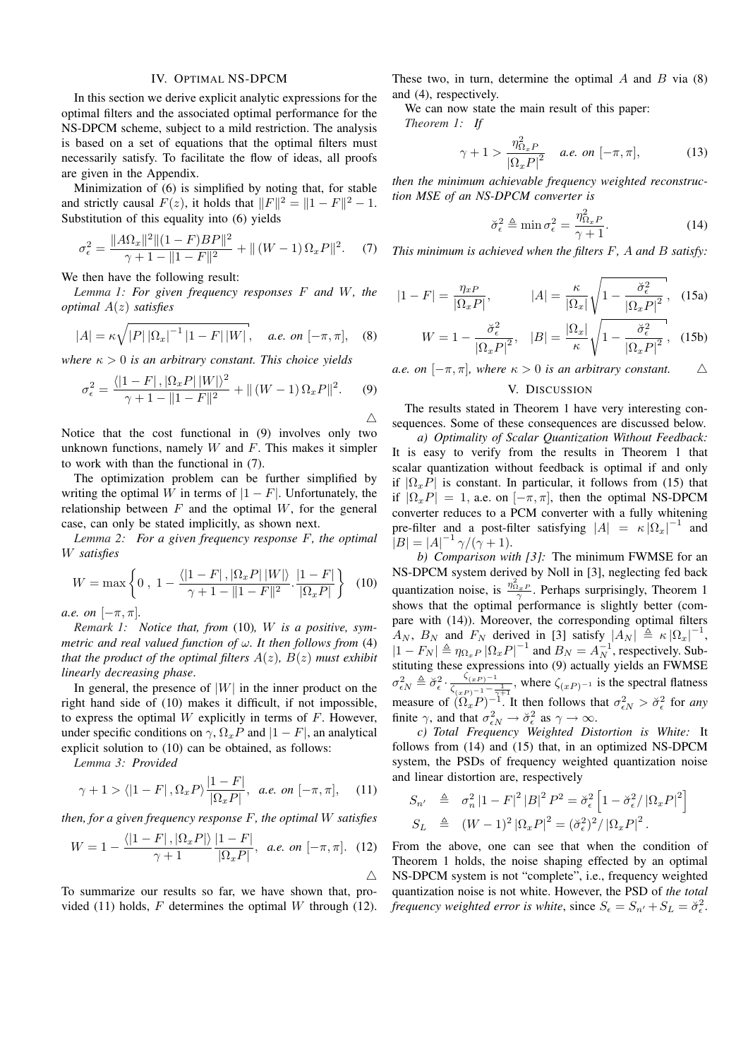#### IV. OPTIMAL NS-DPCM

In this section we derive explicit analytic expressions for the optimal filters and the associated optimal performance for the NS-DPCM scheme, subject to a mild restriction. The analysis is based on a set of equations that the optimal filters must necessarily satisfy. To facilitate the flow of ideas, all proofs are given in the Appendix.

Minimization of (6) is simplified by noting that, for stable and strictly causal  $F(z)$ , it holds that  $||F||^2 = ||1 - F||^2 - 1$ . Substitution of this equality into (6) yields

$$
\sigma_{\epsilon}^{2} = \frac{\|A\Omega_{x}\|^{2}\|(1 - F)BP\|^{2}}{\gamma + 1 - \|1 - F\|^{2}} + \|(W - 1)\Omega_{x}P\|^{2}.
$$
 (7)

We then have the following result:

*Lemma 1: For given frequency responses* F *and* W*, the optimal* A(z) *satisfies*

$$
|A| = \kappa \sqrt{|P| |\Omega_x|^{-1} |1 - F| |W|}, \quad a.e. \text{ on } [-\pi, \pi], \quad (8)
$$

*where*  $\kappa > 0$  *is an arbitrary constant. This choice yields* 

$$
\sigma_{\epsilon}^{2} = \frac{\langle |1 - F|, |\Omega_{x} P| \, |W| \rangle^{2}}{\gamma + 1 - \|1 - F\|^{2}} + \| \left( W - 1 \right) \Omega_{x} P \|^{2}.
$$
 (9)

Notice that the cost functional in (9) involves only two unknown functions, namely  $W$  and  $F$ . This makes it simpler to work with than the functional in (7).

The optimization problem can be further simplified by writing the optimal W in terms of  $|1 - F|$ . Unfortunately, the relationship between  $F$  and the optimal  $W$ , for the general case, can only be stated implicitly, as shown next.

*Lemma 2: For a given frequency response* F*, the optimal* W *satisfies*

$$
W = \max\left\{0, 1 - \frac{\langle |1 - F|, |\Omega_x P| \, |W|\rangle}{\gamma + 1 - \|1 - F\|^2} \cdot \frac{|1 - F|}{|\Omega_x P|}\right\} \tag{10}
$$

*a.e. on*  $[-\pi, \pi]$ *.* 

*Remark 1: Notice that, from* (10)*,* W *is a positive, symmetric and real valued function of* ω*. It then follows from* (4) *that the product of the optimal filters*  $A(z)$ *,*  $B(z)$  *must exhibit linearly decreasing phase*.

In general, the presence of  $|W|$  in the inner product on the right hand side of (10) makes it difficult, if not impossible, to express the optimal  $W$  explicitly in terms of  $F$ . However, under specific conditions on  $\gamma$ ,  $\Omega_x P$  and  $|1 - F|$ , an analytical explicit solution to (10) can be obtained, as follows:

*Lemma 3: Provided*

$$
\gamma + 1 > \langle |1 - F| , \Omega_x P \rangle \frac{|1 - F|}{|\Omega_x P|}, \quad a.e. \text{ on } [-\pi, \pi], \quad (11)
$$

*then, for a given frequency response* F*, the optimal* W *satisfies*

$$
W = 1 - \frac{\langle |1 - F|, |\Omega_x P| \rangle}{\gamma + 1} \frac{|1 - F|}{|\Omega_x P|}, \quad a.e. \text{ on } [-\pi, \pi]. \quad (12)
$$

To summarize our results so far, we have shown that, provided (11) holds,  $F$  determines the optimal  $W$  through (12). These two, in turn, determine the optimal  $A$  and  $B$  via (8) and (4), respectively.

We can now state the main result of this paper:

*Theorem 1: If*

 $\triangle$ 

$$
\gamma + 1 > \frac{\eta_{\Omega_x P}^2}{\left|\Omega_x P\right|^2} \quad a.e. \text{ on } [-\pi, \pi], \tag{13}
$$

*then the minimum achievable frequency weighted reconstruction MSE of an NS-DPCM converter is*

$$
\breve{\sigma}_{\epsilon}^2 \triangleq \min \sigma_{\epsilon}^2 = \frac{\eta_{\Omega_x P}^2}{\gamma + 1}.
$$
 (14)

*This minimum is achieved when the filters* F*,* A *and* B *satisfy:*

$$
|1 - F| = \frac{\eta_{xP}}{|\Omega_x P|}, \qquad |A| = \frac{\kappa}{|\Omega_x|} \sqrt{1 - \frac{\breve{\sigma}_{\epsilon}^2}{|\Omega_x P|^2}}, \quad (15a)
$$

$$
W = 1 - \frac{\breve{\sigma}_{\epsilon}^2}{|\Omega_x P|^2}, \quad |B| = \frac{|\Omega_x|}{\kappa} \sqrt{1 - \frac{\breve{\sigma}_{\epsilon}^2}{|\Omega_x P|^2}}, \quad (15b)
$$

*a.e.* on  $[-\pi, \pi]$ , where  $\kappa > 0$  *is an arbitrary constant.*  $\Delta$ 

# V. DISCUSSION

The results stated in Theorem 1 have very interesting consequences. Some of these consequences are discussed below.

*a) Optimality of Scalar Quantization Without Feedback:* It is easy to verify from the results in Theorem 1 that scalar quantization without feedback is optimal if and only if  $|\Omega_x P|$  is constant. In particular, it follows from (15) that if  $|\Omega_x P| = 1$ , a.e. on  $[-\pi, \pi]$ , then the optimal NS-DPCM converter reduces to a PCM converter with a fully whitening pre-filter and a post-filter satisfying  $|A| = \kappa |\Omega_x|^{-1}$  and  $|B| = |A|^{-1} \gamma/(\gamma + 1).$ 

*b) Comparison with [3]:* The minimum FWMSE for an NS-DPCM system derived by Noll in [3], neglecting fed back quantization noise, is  $\frac{\eta_{\Omega_{x,P}}^2}{\gamma}$ . Perhaps surprisingly, Theorem 1 shows that the optimal performance is slightly better (compare with (14)). Moreover, the corresponding optimal filters  $A_N$ ,  $B_N$  and  $F_N$  derived in [3] satisfy  $|A_N| \triangleq \kappa |\Omega_x|^{-1}$ ,  $|1 - F_N| \triangleq \eta_{\Omega_x P} |\Omega_x P|^{-1}$  and  $B_N = A_N^{-1}$ , respectively. Substituting these expressions into (9) actually yields an FWMSE  $\sigma_{\epsilon N}^2 \triangleq \breve{\sigma}_{\epsilon}^2 \cdot \frac{\breve{\zeta}_{(xP)}-1}{\breve{\zeta}_{(xP)}-1}$  $\frac{\varsigma_{(x,P)}-1}{\varsigma_{(x,P)}-1-\frac{1}{\gamma+1}}$ , where  $\varsigma_{(x,P)}-1$  is the spectral flatness measure of  $(\Omega_x P)^{-1}$ . It then follows that  $\sigma_{\epsilon N}^2 > \breve{\sigma}_{\epsilon}^2$  for *any* finite  $\gamma$ , and that  $\sigma_{\epsilon N}^2 \to \breve{\sigma}_{\epsilon}^2$  as  $\gamma \to \infty$ .

*c) Total Frequency Weighted Distortion is White:* It follows from (14) and (15) that, in an optimized NS-DPCM system, the PSDs of frequency weighted quantization noise and linear distortion are, respectively

$$
S_{n'} \triangleq \sigma_n^2 |1 - F|^2 |B|^2 P^2 = \breve{\sigma}_\epsilon^2 \left[ 1 - \breve{\sigma}_\epsilon^2 / |\Omega_x P|^2 \right]
$$
  

$$
S_L \triangleq (W - 1)^2 |\Omega_x P|^2 = (\breve{\sigma}_\epsilon^2)^2 / |\Omega_x P|^2.
$$

From the above, one can see that when the condition of Theorem 1 holds, the noise shaping effected by an optimal NS-DPCM system is not "complete", i.e., frequency weighted quantization noise is not white. However, the PSD of *the total frequency weighted error is white, since*  $S_{\epsilon} = S_{n'} + S_L = \check{\sigma}_{\epsilon}^2$ .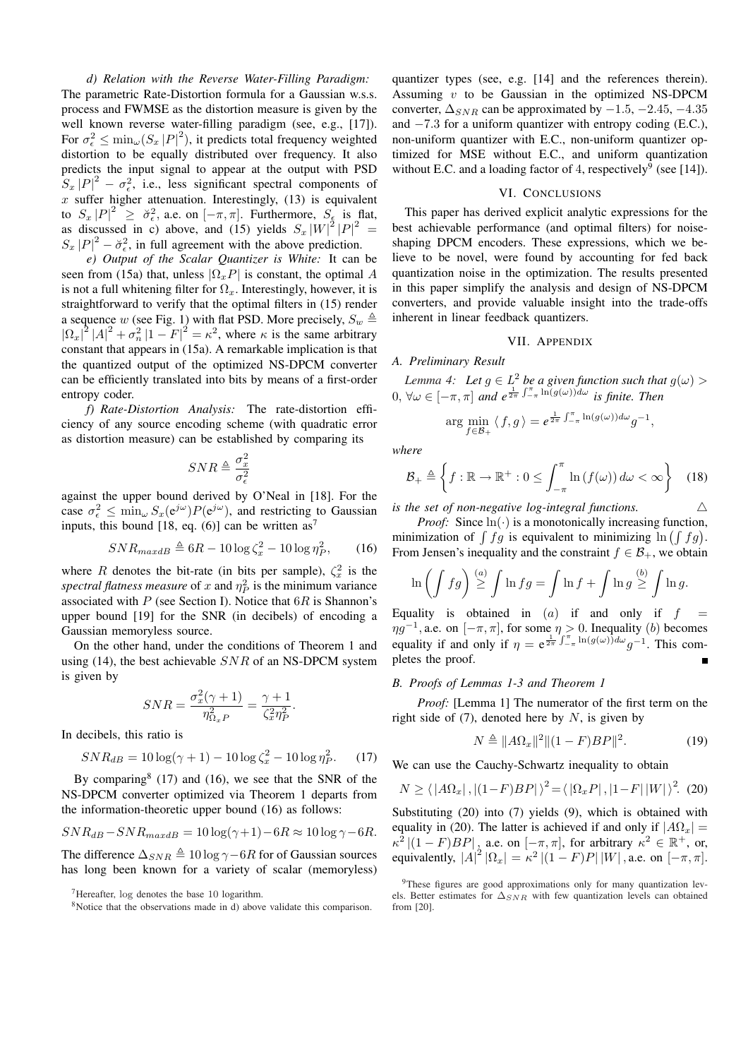*d) Relation with the Reverse Water-Filling Paradigm:* The parametric Rate-Distortion formula for a Gaussian w.s.s. process and FWMSE as the distortion measure is given by the well known reverse water-filling paradigm (see, e.g., [17]). For  $\sigma_{\epsilon}^2 \le \min_{\omega} (S_x |P|^2)$ , it predicts total frequency weighted distortion to be equally distributed over frequency. It also predicts the input signal to appear at the output with PSD  $S_x |P|^2 - \sigma_{\epsilon}^2$ , i.e., less significant spectral components of  $x$  suffer higher attenuation. Interestingly, (13) is equivalent to  $S_x |P|^2 \ge \breve{\sigma}_{\epsilon}^2$ , a.e. on  $[-\pi, \pi]$ . Furthermore,  $S_{\epsilon}$  is flat, as discussed in c) above, and (15) yields  $S_x |W|^2 |P|^2 =$  $S_x |P|^2 - \breve{\sigma}_{\epsilon}^2$ , in full agreement with the above prediction.

*e) Output of the Scalar Quantizer is White:* It can be seen from (15a) that, unless  $|\Omega_x P|$  is constant, the optimal A is not a full whitening filter for  $\Omega_x$ . Interestingly, however, it is straightforward to verify that the optimal filters in (15) render a sequence w (see Fig. 1) with flat PSD. More precisely,  $S_w \triangleq$  $|\Omega_x|^2 |A|^2 + \sigma_n^2 |1 - F|^2 = \kappa^2$ , where  $\kappa$  is the same arbitrary constant that appears in (15a). A remarkable implication is that the quantized output of the optimized NS-DPCM converter can be efficiently translated into bits by means of a first-order entropy coder.

*f) Rate-Distortion Analysis:* The rate-distortion efficiency of any source encoding scheme (with quadratic error as distortion measure) can be established by comparing its

$$
SNR \triangleq \frac{\sigma_x^2}{\sigma_{\epsilon}^2}
$$

against the upper bound derived by O'Neal in [18]. For the case  $\sigma_{\epsilon}^2 \le \min_{\omega} S_x(e^{j\omega}) P(e^{j\omega})$ , and restricting to Gaussian inputs, this bound [18, eq. (6)] can be written as<sup>7</sup>

$$
SNR_{maxdB} \triangleq 6R - 10\log\zeta_x^2 - 10\log\eta_P^2,\qquad(16)
$$

where R denotes the bit-rate (in bits per sample),  $\zeta_x^2$  is the *spectral flatness measure* of x and  $\eta_P^2$  is the minimum variance associated with  $P$  (see Section I). Notice that  $6R$  is Shannon's upper bound [19] for the SNR (in decibels) of encoding a Gaussian memoryless source.

On the other hand, under the conditions of Theorem 1 and using (14), the best achievable  $SNR$  of an NS-DPCM system is given by

$$
SNR = \frac{\sigma_x^2(\gamma + 1)}{\eta_{\Omega_x P}^2} = \frac{\gamma + 1}{\zeta_x^2 \eta_P^2}.
$$

In decibels, this ratio is

$$
SNR_{dB} = 10\log(\gamma + 1) - 10\log\zeta_x^2 - 10\log\eta_P^2. \tag{17}
$$

By comparing  $(17)$  and  $(16)$ , we see that the SNR of the NS-DPCM converter optimized via Theorem 1 departs from the information-theoretic upper bound (16) as follows:

$$
SNR_{dB} - SNR_{maxdB} = 10\log(\gamma + 1) - 6R \approx 10\log\gamma - 6R.
$$

The difference  $\Delta_{SNR} \triangleq 10 \log \gamma - 6R$  for of Gaussian sources has long been known for a variety of scalar (memoryless)

<sup>7</sup>Hereafter, log denotes the base 10 logarithm.

quantizer types (see, e.g. [14] and the references therein). Assuming  $v$  to be Gaussian in the optimized NS-DPCM converter,  $\Delta_{SNR}$  can be approximated by  $-1.5, -2.45, -4.35$ and  $-7.3$  for a uniform quantizer with entropy coding (E.C.), non-uniform quantizer with E.C., non-uniform quantizer optimized for MSE without E.C., and uniform quantization without E.C. and a loading factor of 4, respectively<sup>9</sup> (see [14]).

## VI. CONCLUSIONS

This paper has derived explicit analytic expressions for the best achievable performance (and optimal filters) for noiseshaping DPCM encoders. These expressions, which we believe to be novel, were found by accounting for fed back quantization noise in the optimization. The results presented in this paper simplify the analysis and design of NS-DPCM converters, and provide valuable insight into the trade-offs inherent in linear feedback quantizers.

## VII. APPENDIX

## *A. Preliminary Result*

*Lemma 4:* Let  $g \in L^2$  be a given function such that  $g(\omega)$ Lemma 4. Let  $g \in L$  be a given function such that<br>0,  $\forall \omega \in [-\pi, \pi]$  and  $e^{\frac{1}{2\pi} \int_{-\pi}^{\pi} \ln(g(\omega)) d\omega}$  is finite. Then

$$
\arg\min_{f\in\mathcal{B}_+}\langle f,g\rangle=e^{\frac{1}{2\pi}\int_{-\pi}^{\pi}\ln(g(\omega))d\omega}g^{-1},
$$

*where*

$$
\mathcal{B}_{+} \triangleq \left\{ f : \mathbb{R} \to \mathbb{R}^{+} : 0 \leq \int_{-\pi}^{\pi} \ln(f(\omega)) \, d\omega < \infty \right\} \quad (18)
$$

*is the set of non-negative log-integral functions.*  $\triangle$ 

*Proof:* Since  $\ln(\cdot)$  is a monotonically increasing function, *Proof:* Since  $\text{Im}(\cdot)$  is a monotonically increasing function,<br>minimization of  $\int fg$  is equivalent to minimizing  $\text{Im}(\int fg)$ . From Jensen's inequality and the constraint  $f \in \mathcal{B}_+$ , we obtain

$$
\ln\left(\int fg\right)\stackrel{(a)}{\geq} \int \ln fg = \int \ln f + \int \ln g \stackrel{(b)}{\geq} \int \ln g.
$$

Equality is obtained in  $(a)$  if and only if  $f =$  $\eta g^{-1}$ , a.e. on  $[-\pi, \pi]$ , for some  $\eta > 0$ . Inequality (b) becomes equality if and only if  $\eta = e^{\frac{1}{2\pi} \int_{-\pi}^{\pi} \ln(g(\omega)) d\omega} g^{-1}$ . This completes the proof.

## *B. Proofs of Lemmas 1-3 and Theorem 1*

*Proof:* [Lemma 1] The numerator of the first term on the right side of  $(7)$ , denoted here by N, is given by

$$
N \triangleq ||A\Omega_x||^2 ||(1 - F)BP||^2.
$$
 (19)

We can use the Cauchy-Schwartz inequality to obtain

$$
N \ge \langle |A\Omega_x|, |(1 - F)BP| \rangle^2 = \langle |\Omega_x P|, |1 - F| |W| \rangle^2.
$$
 (20)

Substituting (20) into (7) yields (9), which is obtained with equality in (20). The latter is achieved if and only if  $|A\Omega_x|$  =  $\kappa^2 |(1 - F)BP|$ , a.e. on  $[-\pi, \pi]$ , for arbitrary  $\kappa^2 \in \mathbb{R}^+$ , or, equivalently,  $|A|^2 |\Omega_x| = \kappa^2 |(1 - F)P| |W|$ , a.e. on  $[-\pi, \pi]$ .

<sup>&</sup>lt;sup>8</sup>Notice that the observations made in d) above validate this comparison.

<sup>&</sup>lt;sup>9</sup>These figures are good approximations only for many quantization levels. Better estimates for  $\Delta_{SNR}$  with few quantization levels can obtained from [20].